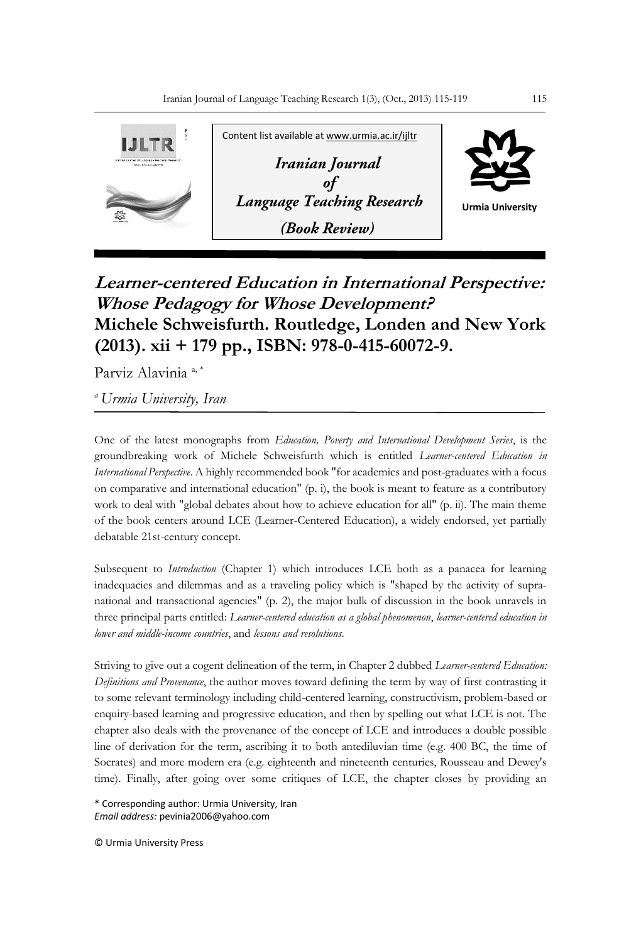

## **Learner-centered Education in International Perspective: Whose Pedagogy for Whose Development? Michele Schweisfurth. Routledge, Londen and New York (2013). xii + 179 pp., ISBN: 978-0-415-60072-9.**

Parviz Alavinia<sup>a,\*</sup>

*<sup>a</sup>Urmia University, Iran*

One of the latest monographs from *Education, Poverty and International Development Series*, is the groundbreaking work of Michele Schweisfurth which is entitled *Learner-centered Education in International Perspective*. A highly recommended book "for academics and post-graduates with a focus on comparative and international education" (p. i), the book is meant to feature as a contributory work to deal with "global debates about how to achieve education for all" (p. ii). The main theme of the book centers around LCE (Learner-Centered Education), a widely endorsed, yet partially debatable 21st-century concept.

Subsequent to *Introduction* (Chapter 1) which introduces LCE both as a panacea for learning inadequacies and dilemmas and as a traveling policy which is "shaped by the activity of supranational and transactional agencies" (p. 2), the major bulk of discussion in the book unravels in three principal parts entitled: *Learner-centered education as a global phenomenon*, *learner-centered education in lower and middle-income countries*, and *lessons and resolutions*.

Striving to give out a cogent delineation of the term, in Chapter 2 dubbed *Learner-centered Education: Definitions and Provenance*, the author moves toward defining the term by way of first contrasting it to some relevant terminology including child-centered learning, constructivism, problem-based or enquiry-based learning and progressive education, and then by spelling out what LCE is not. The chapter also deals with the provenance of the concept of LCE and introduces a double possible line of derivation for the term, ascribing it to both antediluvian time (e.g. 400 BC, the time of Socrates) and more modern era (e.g. eighteenth and nineteenth centuries, Rousseau and Dewey's time). Finally, after going over some critiques of LCE, the chapter closes by providing an

\* Corresponding author: Urmia University, Iran *Email address:* pevinia2006@yahoo.com

© Urmia University Press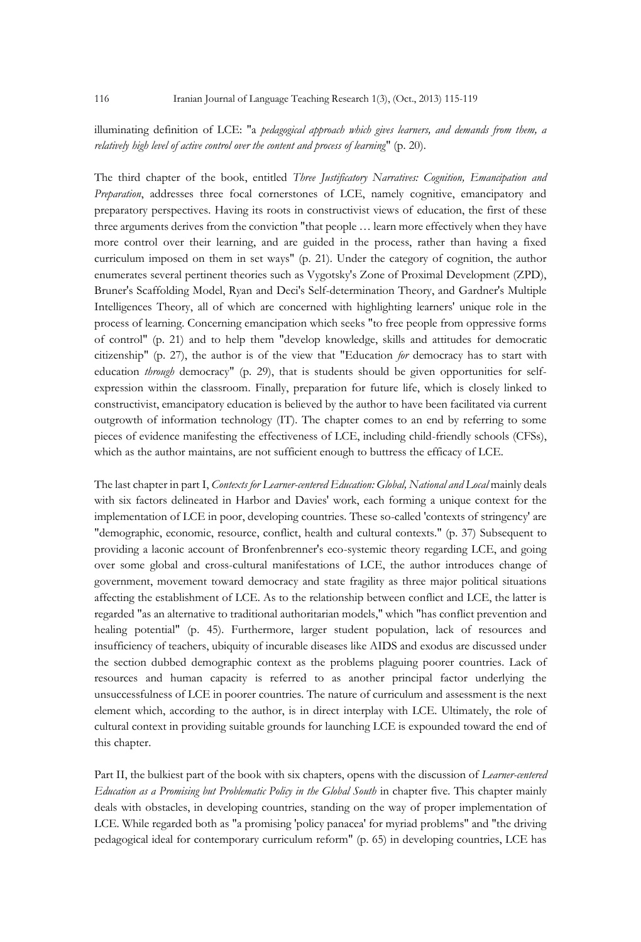## illuminating definition of LCE: "a *pedagogical approach which gives learners, and demands from them, a relatively high level of active control over the content and process of learning*" (p. 20).

The third chapter of the book, entitled *Three Justificatory Narratives: Cognition, Emancipation and Preparation*, addresses three focal cornerstones of LCE, namely cognitive, emancipatory and preparatory perspectives. Having its roots in constructivist views of education, the first of these three arguments derives from the conviction "that people … learn more effectively when they have more control over their learning, and are guided in the process, rather than having a fixed curriculum imposed on them in set ways" (p. 21). Under the category of cognition, the author enumerates several pertinent theories such as Vygotsky's Zone of Proximal Development (ZPD), Bruner's Scaffolding Model, Ryan and Deci's Self-determination Theory, and Gardner's Multiple Intelligences Theory, all of which are concerned with highlighting learners' unique role in the process of learning. Concerning emancipation which seeks "to free people from oppressive forms of control" (p. 21) and to help them "develop knowledge, skills and attitudes for democratic citizenship" (p. 27), the author is of the view that "Education *for* democracy has to start with education *through* democracy" (p. 29), that is students should be given opportunities for selfexpression within the classroom. Finally, preparation for future life, which is closely linked to constructivist, emancipatory education is believed by the author to have been facilitated via current outgrowth of information technology (IT). The chapter comes to an end by referring to some pieces of evidence manifesting the effectiveness of LCE, including child-friendly schools (CFSs), which as the author maintains, are not sufficient enough to buttress the efficacy of LCE.

The last chapter in part I, *Contexts for Learner-centered Education: Global, National and Local* mainly deals with six factors delineated in Harbor and Davies' work, each forming a unique context for the implementation of LCE in poor, developing countries. These so-called 'contexts of stringency' are "demographic, economic, resource, conflict, health and cultural contexts." (p. 37) Subsequent to providing a laconic account of Bronfenbrenner's eco-systemic theory regarding LCE, and going over some global and cross-cultural manifestations of LCE, the author introduces change of government, movement toward democracy and state fragility as three major political situations affecting the establishment of LCE. As to the relationship between conflict and LCE, the latter is regarded "as an alternative to traditional authoritarian models," which "has conflict prevention and healing potential" (p. 45). Furthermore, larger student population, lack of resources and insufficiency of teachers, ubiquity of incurable diseases like AIDS and exodus are discussed under the section dubbed demographic context as the problems plaguing poorer countries. Lack of resources and human capacity is referred to as another principal factor underlying the unsuccessfulness of LCE in poorer countries. The nature of curriculum and assessment is the next element which, according to the author, is in direct interplay with LCE. Ultimately, the role of cultural context in providing suitable grounds for launching LCE is expounded toward the end of this chapter.

Part II, the bulkiest part of the book with six chapters, opens with the discussion of *Learner-centered Education as a Promising but Problematic Policy in the Global South* in chapter five. This chapter mainly deals with obstacles, in developing countries, standing on the way of proper implementation of LCE. While regarded both as "a promising 'policy panacea' for myriad problems" and "the driving pedagogical ideal for contemporary curriculum reform" (p. 65) in developing countries, LCE has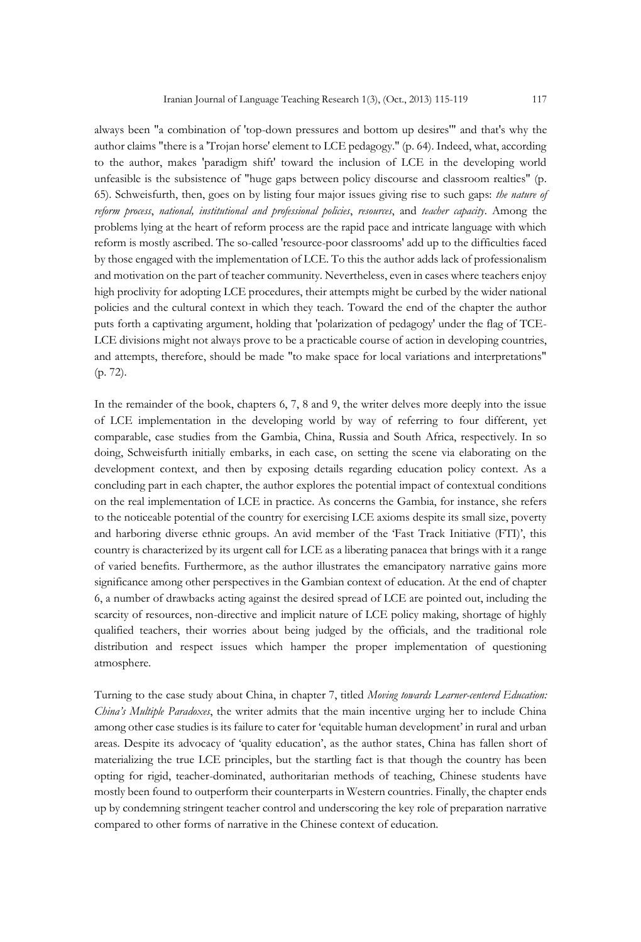always been "a combination of 'top-down pressures and bottom up desires'" and that's why the author claims "there is a 'Trojan horse' element to LCE pedagogy." (p. 64). Indeed, what, according to the author, makes 'paradigm shift' toward the inclusion of LCE in the developing world unfeasible is the subsistence of "huge gaps between policy discourse and classroom realties" (p. 65). Schweisfurth, then, goes on by listing four major issues giving rise to such gaps: *the nature of reform process*, *national, institutional and professional policies*, *resources*, and *teacher capacity*. Among the problems lying at the heart of reform process are the rapid pace and intricate language with which reform is mostly ascribed. The so-called 'resource-poor classrooms' add up to the difficulties faced by those engaged with the implementation of LCE. To this the author adds lack of professionalism and motivation on the part of teacher community. Nevertheless, even in cases where teachers enjoy high proclivity for adopting LCE procedures, their attempts might be curbed by the wider national policies and the cultural context in which they teach. Toward the end of the chapter the author puts forth a captivating argument, holding that 'polarization of pedagogy' under the flag of TCE-LCE divisions might not always prove to be a practicable course of action in developing countries, and attempts, therefore, should be made "to make space for local variations and interpretations" (p. 72).

In the remainder of the book, chapters 6, 7, 8 and 9, the writer delves more deeply into the issue of LCE implementation in the developing world by way of referring to four different, yet comparable, case studies from the Gambia, China, Russia and South Africa, respectively. In so doing, Schweisfurth initially embarks, in each case, on setting the scene via elaborating on the development context, and then by exposing details regarding education policy context. As a concluding part in each chapter, the author explores the potential impact of contextual conditions on the real implementation of LCE in practice. As concerns the Gambia, for instance, she refers to the noticeable potential of the country for exercising LCE axioms despite its small size, poverty and harboring diverse ethnic groups. An avid member of the 'Fast Track Initiative (FTI)', this country is characterized by its urgent call for LCE as a liberating panacea that brings with it a range of varied benefits. Furthermore, as the author illustrates the emancipatory narrative gains more significance among other perspectives in the Gambian context of education. At the end of chapter 6, a number of drawbacks acting against the desired spread of LCE are pointed out, including the scarcity of resources, non-directive and implicit nature of LCE policy making, shortage of highly qualified teachers, their worries about being judged by the officials, and the traditional role distribution and respect issues which hamper the proper implementation of questioning atmosphere.

Turning to the case study about China, in chapter 7, titled *Moving towards Learner-centered Education: China's Multiple Paradoxes*, the writer admits that the main incentive urging her to include China among other case studies is its failure to cater for 'equitable human development' in rural and urban areas. Despite its advocacy of 'quality education', as the author states, China has fallen short of materializing the true LCE principles, but the startling fact is that though the country has been opting for rigid, teacher-dominated, authoritarian methods of teaching, Chinese students have mostly been found to outperform their counterparts in Western countries. Finally, the chapter ends up by condemning stringent teacher control and underscoring the key role of preparation narrative compared to other forms of narrative in the Chinese context of education.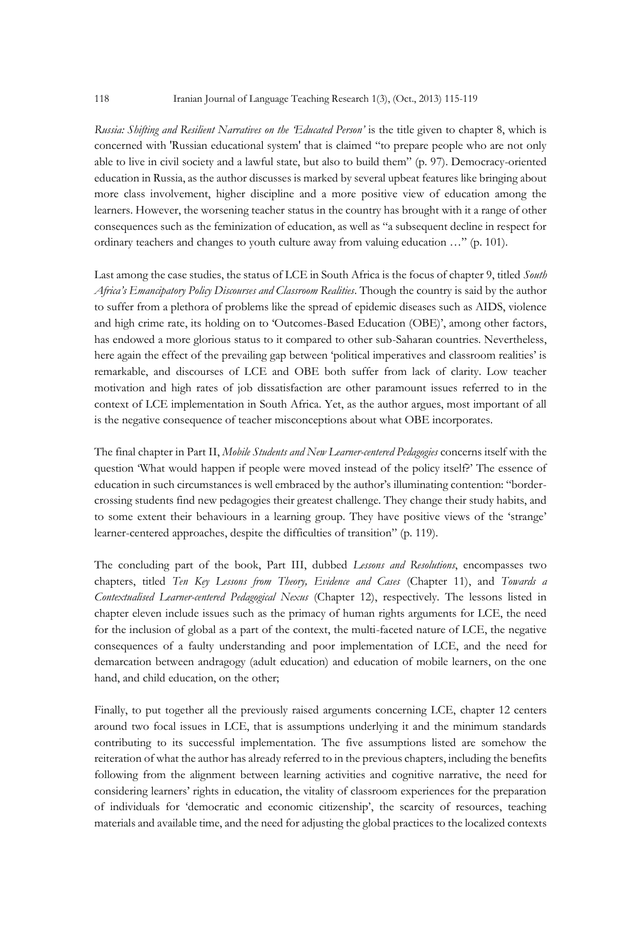*Russia: Shifting and Resilient Narratives on the 'Educated Person'* is the title given to chapter 8, which is concerned with 'Russian educational system' that is claimed "to prepare people who are not only able to live in civil society and a lawful state, but also to build them" (p. 97). Democracy-oriented education in Russia, as the author discusses is marked by several upbeat features like bringing about more class involvement, higher discipline and a more positive view of education among the learners. However, the worsening teacher status in the country has brought with it a range of other consequences such as the feminization of education, as well as "a subsequent decline in respect for ordinary teachers and changes to youth culture away from valuing education …" (p. 101).

Last among the case studies, the status of LCE in South Africa is the focus of chapter 9, titled *South Africa's Emancipatory Policy Discourses and Classroom Realities*. Though the country is said by the author to suffer from a plethora of problems like the spread of epidemic diseases such as AIDS, violence and high crime rate, its holding on to 'Outcomes-Based Education (OBE)', among other factors, has endowed a more glorious status to it compared to other sub-Saharan countries. Nevertheless, here again the effect of the prevailing gap between 'political imperatives and classroom realities' is remarkable, and discourses of LCE and OBE both suffer from lack of clarity. Low teacher motivation and high rates of job dissatisfaction are other paramount issues referred to in the context of LCE implementation in South Africa. Yet, as the author argues, most important of all is the negative consequence of teacher misconceptions about what OBE incorporates.

The final chapter in Part II, *Mobile Students and New Learner-centered Pedagogies* concerns itself with the question 'What would happen if people were moved instead of the policy itself?' The essence of education in such circumstances is well embraced by the author's illuminating contention: "bordercrossing students find new pedagogies their greatest challenge. They change their study habits, and to some extent their behaviours in a learning group. They have positive views of the 'strange' learner-centered approaches, despite the difficulties of transition" (p. 119).

The concluding part of the book, Part III, dubbed *Lessons and Resolutions*, encompasses two chapters, titled *Ten Key Lessons from Theory, Evidence and Cases* (Chapter 11), and *Towards a Contextualised Learner-centered Pedagogical Nexus* (Chapter 12), respectively. The lessons listed in chapter eleven include issues such as the primacy of human rights arguments for LCE, the need for the inclusion of global as a part of the context, the multi-faceted nature of LCE, the negative consequences of a faulty understanding and poor implementation of LCE, and the need for demarcation between andragogy (adult education) and education of mobile learners, on the one hand, and child education, on the other;

Finally, to put together all the previously raised arguments concerning LCE, chapter 12 centers around two focal issues in LCE, that is assumptions underlying it and the minimum standards contributing to its successful implementation. The five assumptions listed are somehow the reiteration of what the author has already referred to in the previous chapters, including the benefits following from the alignment between learning activities and cognitive narrative, the need for considering learners' rights in education, the vitality of classroom experiences for the preparation of individuals for 'democratic and economic citizenship', the scarcity of resources, teaching materials and available time, and the need for adjusting the global practices to the localized contexts